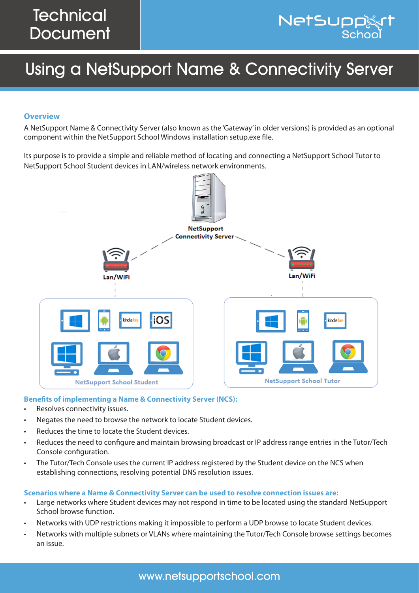# Using a NetSupport Name & Connectivity Server

### **Overview**

A NetSupport Name & Connectivity Server (also known as the 'Gateway' in older versions) is provided as an optional component within the NetSupport School Windows installation setup.exe file.

Its purpose is to provide a simple and reliable method of locating and connecting a NetSupport School Tutor to NetSupport School Student devices in LAN/wireless network environments.



#### **Benefits of implementing a Name & Connectivity Server (NCS):**

- Resolves connectivity issues.
- Negates the need to browse the network to locate Student devices.
- Reduces the time to locate the Student devices.
- Reduces the need to configure and maintain browsing broadcast or IP address range entries in the Tutor/Tech Console configuration.
- The Tutor/Tech Console uses the current IP address registered by the Student device on the NCS when establishing connections, resolving potential DNS resolution issues.

#### **Scenarios where a Name & Connectivity Server can be used to resolve connection issues are:**

- Large networks where Student devices may not respond in time to be located using the standard NetSupport School browse function.
- Networks with UDP restrictions making it impossible to perform a UDP browse to locate Student devices.
- Networks with multiple subnets or VLANs where maintaining the Tutor/Tech Console browse settings becomes an issue.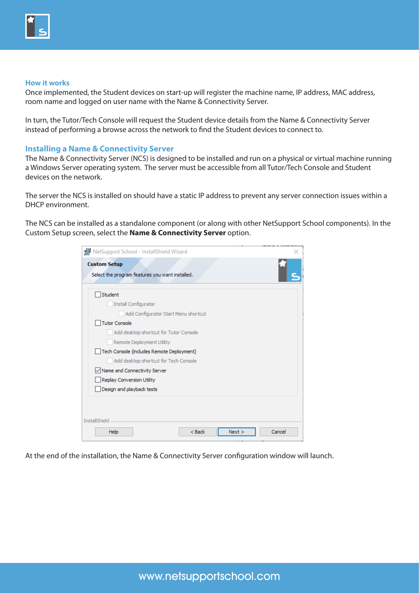

#### **How it works**

Once implemented, the Student devices on start-up will register the machine name, IP address, MAC address, room name and logged on user name with the Name & Connectivity Server.

In turn, the Tutor/Tech Console will request the Student device details from the Name & Connectivity Server instead of performing a browse across the network to find the Student devices to connect to.

#### **Installing a Name & Connectivity Server**

The Name & Connectivity Server (NCS) is designed to be installed and run on a physical or virtual machine running a Windows Server operating system. The server must be accessible from all Tutor/Tech Console and Student devices on the network.

The server the NCS is installed on should have a static IP address to prevent any server connection issues within a DHCP environment.

The NCS can be installed as a standalone component (or along with other NetSupport School components). In the Custom Setup screen, select the **Name & Connectivity Server** option.

| Student<br>Install Configurator           |  |  |
|-------------------------------------------|--|--|
| Add Configurator Start Menu shortcut      |  |  |
| Tutor Console                             |  |  |
| Add desktop shortcut for Tutor Console    |  |  |
| Remote Deployment Utility                 |  |  |
| Tech Console (includes Remote Deployment) |  |  |
| Add desktop shortcut for Tech Console     |  |  |
| Name and Connectivity Server              |  |  |
| Replay Conversion Utility                 |  |  |
| Design and playback tests                 |  |  |

At the end of the installation, the Name & Connectivity Server configuration window will launch.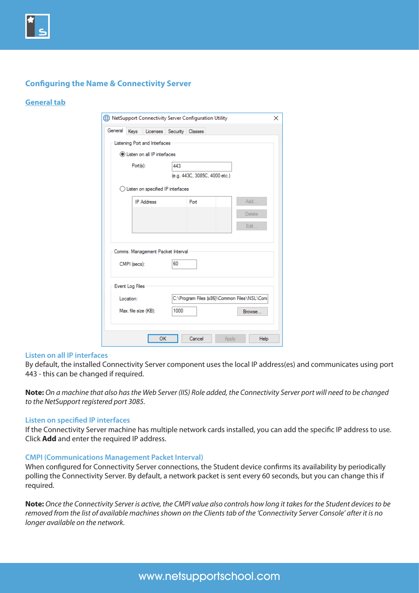

## **Configuring the Name & Connectivity Server**

#### **General tab**

|                 |                                                   | NetSupport Connectivity Server Configuration Utility |                                              |  |
|-----------------|---------------------------------------------------|------------------------------------------------------|----------------------------------------------|--|
| General         | Licenses Security<br>Keys                         | Classes                                              |                                              |  |
|                 | Listening Port and Interfaces                     |                                                      |                                              |  |
|                 | <b>O</b> Listen on all IP interfaces              |                                                      |                                              |  |
|                 | Port(s):                                          | 443                                                  |                                              |  |
|                 |                                                   | (e.g. 443C, 3085C, 4000 etc.)                        |                                              |  |
|                 | $\bigcirc$ Listen on specified IP interfaces      |                                                      |                                              |  |
|                 | <b>IP Address</b>                                 | Port                                                 | Add                                          |  |
|                 |                                                   |                                                      | <b>Delete</b>                                |  |
|                 |                                                   |                                                      | Edit                                         |  |
|                 | Comms. Management Packet Interval<br>CMPI (secs): | 60                                                   |                                              |  |
| Event Log Files |                                                   |                                                      |                                              |  |
| Location:       |                                                   |                                                      | C:\Program Files (x86)\Common Files\NSL\Coni |  |
|                 | Max. file size (KB):                              | 1000                                                 | Browse                                       |  |
|                 | OK                                                | Cancel                                               | Apply<br>Help                                |  |

#### **Listen on all IP interfaces**

By default, the installed Connectivity Server component uses the local IP address(es) and communicates using port 443 - this can be changed if required.

**Note:** *On a machine that also has the Web Server (IIS) Role added, the Connectivity Server port will need to be changed to the NetSupport registered port 3085.*

#### **Listen on specified IP interfaces**

If the Connectivity Server machine has multiple network cards installed, you can add the specific IP address to use. Click **Add** and enter the required IP address.

#### **CMPI (Communications Management Packet Interval)**

When configured for Connectivity Server connections, the Student device confirms its availability by periodically polling the Connectivity Server. By default, a network packet is sent every 60 seconds, but you can change this if required.

**Note:** *Once the Connectivity Server is active, the CMPI value also controls how long it takes for the Student devices to be removed from the list of available machines shown on the Clients tab of the 'Connectivity Server Console' after it is no longer available on the network.*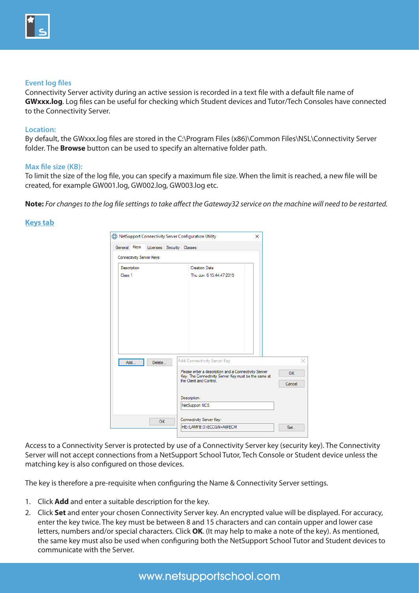

#### **Event log files**

Connectivity Server activity during an active session is recorded in a text file with a default file name of **GWxxx.log**. Log files can be useful for checking which Student devices and Tutor/Tech Consoles have connected to the Connectivity Server.

#### **Location:**

By default, the GWxxx.log files are stored in the C:\Program Files (x86)\Common Files\NSL\Connectivity Server folder. The **Browse** button can be used to specify an alternative folder path.

#### **Max file size (KB):**

To limit the size of the log file, you can specify a maximum file size. When the limit is reached, a new file will be created, for example GW001.log, GW002.log, GW003.log etc.

**Note:** *For changes to the log file settings to take affect the Gateway32 service on the machine will need to be restarted.*

#### **Keys tab**

| General Keys | Licenses Security Classes | NetSupport Connectivity Server Configuration Utility                            |         |
|--------------|---------------------------|---------------------------------------------------------------------------------|---------|
|              | Connectivity Server Keys: |                                                                                 |         |
| Description  |                           | <b>Creation Date</b>                                                            |         |
| Class 1      |                           | Thu Jun 6 15:44:47 2019                                                         |         |
|              |                           |                                                                                 |         |
|              |                           |                                                                                 |         |
|              |                           |                                                                                 |         |
|              |                           |                                                                                 |         |
|              |                           |                                                                                 |         |
|              |                           |                                                                                 |         |
| Add          | Delete                    | Add Connectivity Server Key                                                     |         |
|              |                           | Please enter a description and a Connectivity Server                            | ×<br>OK |
|              |                           | Key. The Connectivity Server Key must be the same at<br>the Client and Control. | Cancel  |
|              |                           | Description:                                                                    |         |
|              |                           | NetSupport NCS                                                                  |         |
|              | OK                        | Connectivity Server Key:                                                        |         |

Access to a Connectivity Server is protected by use of a Connectivity Server key (security key). The Connectivity Server will not accept connections from a NetSupport School Tutor, Tech Console or Student device unless the matching key is also configured on those devices.

The key is therefore a pre-requisite when configuring the Name & Connectivity Server settings.

- 1. Click **Add** and enter a suitable description for the key.
- 2. Click **Set** and enter your chosen Connectivity Server key. An encrypted value will be displayed. For accuracy, enter the key twice. The key must be between 8 and 15 characters and can contain upper and lower case letters, numbers and/or special characters. Click **OK**. (It may help to make a note of the key). As mentioned, the same key must also be used when configuring both the NetSupport School Tutor and Student devices to communicate with the Server.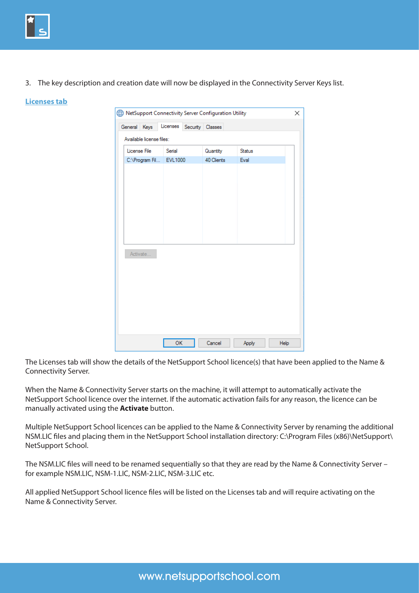

3. The key description and creation date will now be displayed in the Connectivity Server Keys list.

#### **Licenses tab**

|  |                          |          |          | NetSupport Connectivity Server Configuration Utility |        |      | × |
|--|--------------------------|----------|----------|------------------------------------------------------|--------|------|---|
|  | General Keys             | Licenses | Security | Classes                                              |        |      |   |
|  | Available license files: |          |          |                                                      |        |      |   |
|  | License File             | Serial   |          | Quantity                                             | Status |      |   |
|  | C:\Program Fil EVL1000   |          |          | 40 Clients                                           | Eval   |      |   |
|  |                          |          |          |                                                      |        |      |   |
|  |                          |          |          |                                                      |        |      |   |
|  |                          |          |          |                                                      |        |      |   |
|  |                          |          |          |                                                      |        |      |   |
|  |                          |          |          |                                                      |        |      |   |
|  |                          |          |          |                                                      |        |      |   |
|  |                          |          |          |                                                      |        |      |   |
|  | Activate                 |          |          |                                                      |        |      |   |
|  |                          |          |          |                                                      |        |      |   |
|  |                          |          |          |                                                      |        |      |   |
|  |                          |          |          |                                                      |        |      |   |
|  |                          |          |          |                                                      |        |      |   |
|  |                          |          |          |                                                      |        |      |   |
|  |                          |          |          |                                                      |        |      |   |
|  |                          | OK       |          | Cancel                                               | Apply  | Help |   |

The Licenses tab will show the details of the NetSupport School licence(s) that have been applied to the Name & Connectivity Server.

When the Name & Connectivity Server starts on the machine, it will attempt to automatically activate the NetSupport School licence over the internet. If the automatic activation fails for any reason, the licence can be manually activated using the **Activate** button.

Multiple NetSupport School licences can be applied to the Name & Connectivity Server by renaming the additional NSM.LIC files and placing them in the NetSupport School installation directory: C:\Program Files (x86)\NetSupport\ NetSupport School.

The NSM.LIC files will need to be renamed sequentially so that they are read by the Name & Connectivity Server – for example NSM.LIC, NSM-1.LIC, NSM-2.LIC, NSM-3.LIC etc.

All applied NetSupport School licence files will be listed on the Licenses tab and will require activating on the Name & Connectivity Server.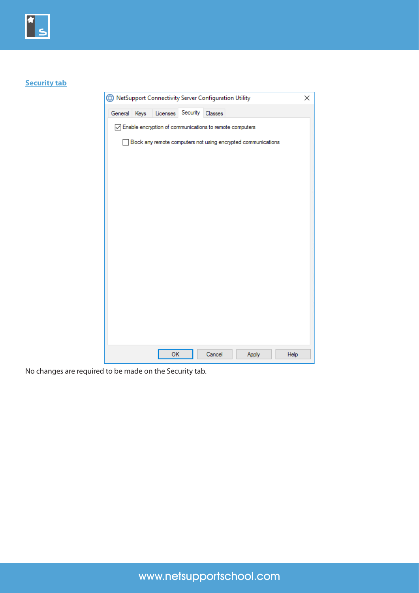

## **Security tab**

| NetSupport Connectivity Server Configuration Utility |                                                               |         |       | ×    |
|------------------------------------------------------|---------------------------------------------------------------|---------|-------|------|
| General Keys                                         | Licenses Security                                             | Classes |       |      |
|                                                      | ○ Enable encryption of communications to remote computers     |         |       |      |
|                                                      | Block any remote computers not using encrypted communications |         |       |      |
|                                                      |                                                               |         |       |      |
|                                                      |                                                               |         |       |      |
|                                                      |                                                               |         |       |      |
|                                                      |                                                               |         |       |      |
|                                                      |                                                               |         |       |      |
|                                                      |                                                               |         |       |      |
|                                                      |                                                               |         |       |      |
|                                                      |                                                               |         |       |      |
|                                                      |                                                               |         |       |      |
|                                                      |                                                               |         |       |      |
|                                                      |                                                               |         |       |      |
|                                                      |                                                               |         |       |      |
|                                                      | OK                                                            | Cancel  | Apply | Help |

No changes are required to be made on the Security tab.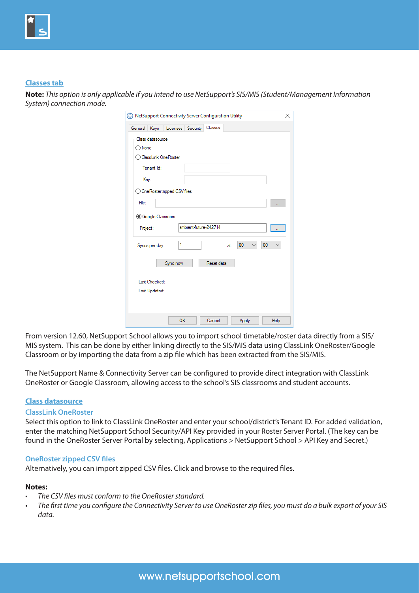

#### **Classes tab**

**Note:** *This option is only applicable if you intend to use NetSupport's SIS/MIS (Student/Management Information System) connection mode.* 

| NetSupport Connectivity Server Configuration Utility<br>$\times$ |
|------------------------------------------------------------------|
| Classes<br>Licenses Security<br>General Keys                     |
| Class datasource<br>◯ None<br>ClassLink OneRoster                |
| Tenant Id:                                                       |
| Key:                                                             |
| ◯ OneRoster zipped CSV files                                     |
| File:                                                            |
| Google Classroom                                                 |
| ambient-future-242714<br>Project:                                |
| 1<br>00<br>00<br>Syncs per day:<br>at:                           |
| Reset data<br>Sync now                                           |
| Last Checked:                                                    |
| Last Updated:                                                    |
|                                                                  |
| Cancel<br>OK<br>Apply<br>Help                                    |

From version 12.60, NetSupport School allows you to import school timetable/roster data directly from a SIS/ MIS system. This can be done by either linking directly to the SIS/MIS data using ClassLink OneRoster/Google Classroom or by importing the data from a zip file which has been extracted from the SIS/MIS.

The NetSupport Name & Connectivity Server can be configured to provide direct integration with ClassLink OneRoster or Google Classroom, allowing access to the school's SIS classrooms and student accounts.

#### **Class datasource**

#### **ClassLink OneRoster**

Select this option to link to ClassLink OneRoster and enter your school/district's Tenant ID. For added validation, enter the matching NetSupport School Security/API Key provided in your Roster Server Portal. (The key can be found in the OneRoster Server Portal by selecting, Applications > NetSupport School > API Key and Secret.)

#### **OneRoster zipped CSV files**

Alternatively, you can import zipped CSV files. Click and browse to the required files.

#### **Notes:**

- The CSV files must conform to the OneRoster standard.
- The first time you configure the Connectivity Server to use OneRoster zip files, you must do a bulk export of your SIS *data.*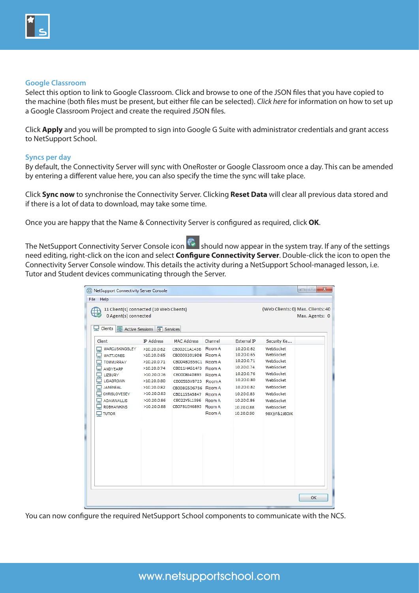

#### **Google Classroom**

Select this option to link to Google Classroom. Click and browse to one of the JSON files that you have copied to the machine (both files must be present, but either file can be selected). *[Click here](https://www.netsupportschool.com/nss-pdfs/Integrating-NetSupport-School-with-Google-Classroom.pdf)* for information on how to set up a Google Classroom Project and create the required JSON files.

Click **Apply** and you will be prompted to sign into Google G Suite with administrator credentials and grant access to NetSupport School.

#### **Syncs per day**

By default, the Connectivity Server will sync with OneRoster or Google Classroom once a day. This can be amended by entering a different value here, you can also specify the time the sync will take place.

Click **Sync now** to synchronise the Connectivity Server. Clicking **Reset Data** will clear all previous data stored and if there is a lot of data to download, may take some time.

Once you are happy that the Name & Connectivity Server is configured as required, click **OK**.

The NetSupport Connectivity Server Console icon **Should now appear in the system tray. If any of the settings** need editing, right-click on the icon and select **Configure Connectivity Server**. Double-click the icon to open the Connectivity Server Console window. This details the activity during a NetSupport School-managed lesson, i.e. Tutor and Student devices communicating through the Server.

| Clients                                                                                                                                                                                                                                 | Active Sessions # Services                                                                                                          |                                                                                                                                                                                                             |         |                                                                                                                                          |                                                                                                                                    |  |
|-----------------------------------------------------------------------------------------------------------------------------------------------------------------------------------------------------------------------------------------|-------------------------------------------------------------------------------------------------------------------------------------|-------------------------------------------------------------------------------------------------------------------------------------------------------------------------------------------------------------|---------|------------------------------------------------------------------------------------------------------------------------------------------|------------------------------------------------------------------------------------------------------------------------------------|--|
| Client                                                                                                                                                                                                                                  | IP Address                                                                                                                          | <b>MAC Address</b>                                                                                                                                                                                          | Channel | External IP                                                                                                                              | Security Ke                                                                                                                        |  |
| 딯<br>Ę<br><b>MATTJONES</b><br>Ξ<br><b>TOMMURRAY</b><br>Ę<br>ANDYEARP<br>딯<br><b>LIZBURY</b><br>ç<br><b>LISABROWN</b><br>ς<br><b>JANENEAL</b><br>딯<br><b>CHRISLOVESEY</b><br>딯<br><b>ADAMWALLIS</b><br><b>ROBHAWKINS</b><br>$\Box$ TUTOR | >10.20.0.65<br>>10.20.0.71<br>>10.20.0.74<br>>10.20.0.76<br>>10.20.0.80<br>>10.20.0.82<br>>10.20.0.83<br>>10.20.0.86<br>>10.20.0.88 | CB00032019D8 Room A<br>CB0048D356C1 Room A<br>CB011HA514F3 Room A<br>CB0008J4D893 Room A<br>CB005S3V8723 Room A<br>CB008G5D6736 Room A<br>CB011S5A5847 Room A<br>CB022Y5L1396 Room A<br>CB0781EH6893 Room A | Room A  | 10.20.0.65<br>10.20.0.71<br>10.20.0.74<br>10.20.0.76<br>10.20.0.80<br>10.20.0.82<br>10.20.0.83<br>10.20.0.86<br>10,20.0.88<br>10.20.0.90 | WebSocket<br>WebSocket<br>WebSocket<br>WebSocket<br>WebSocket<br>WebSocket<br>WebSocket<br>WebSocket<br>WebSocket<br>98X))F&2J8DJK |  |

You can now configure the required NetSupport School components to communicate with the NCS.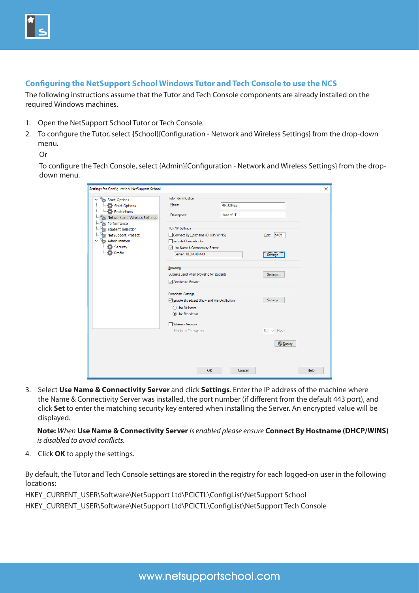## **Configuring the NetSupport School Windows Tutor and Tech Console to use the NCS**

The following instructions assume that the Tutor and Tech Console components are already installed on the required Windows machines.

- 1. Open the NetSupport School Tutor or Tech Console.
- 2. To configure the Tutor, select **{**School}{Configuration Network and Wireless Settings} from the drop-down menu.

#### Or

To configure the Tech Console, select {Admin}{Configuration - Network and Wireless Settings} from the dropdown menu.

| Settings for Configuration: NetSupport School                                            |                                                                                           |                               |                                                         | ×    |
|------------------------------------------------------------------------------------------|-------------------------------------------------------------------------------------------|-------------------------------|---------------------------------------------------------|------|
| Start Options<br>Start Options<br><b>D</b> Restrictions<br>Network and Wireless Settings | Tutor Identification<br>Name:<br>Description:                                             | <b>MR JONES</b><br>Head of IT |                                                         |      |
| Performance<br>Student Selection<br>NetSupport Protect<br>Administration                 | <b>TCP/IP Settings</b><br>Connect By Hostname (DHCP/WINS)<br>Include Chromebooks          |                               | Port: 5405                                              |      |
| Security<br>Profile                                                                      | Use Name & Connectivity Server<br>Server: 10.0.4.48:443<br>Browsing                       |                               | Settings                                                |      |
|                                                                                          | Subnets used when browsing for students<br>Accelerate Browse<br><b>Broadcast Settings</b> |                               | Settings                                                |      |
|                                                                                          | Enable Broadcast Show and File Distribution<br>◯ Use Multicast<br><b>O</b> Use Broadcast  |                               | Settings                                                |      |
|                                                                                          | Wireless Network<br>Maximum Throughput                                                    |                               | Mbps<br>$\overline{8}$<br>$\checkmark$<br><b>Deploy</b> |      |
|                                                                                          |                                                                                           |                               |                                                         |      |
|                                                                                          | <b>OK</b>                                                                                 | Cancel                        |                                                         | Help |

3. Select **Use Name & Connectivity Server** and click **Settings**. Enter the IP address of the machine where the Name & Connectivity Server was installed, the port number (if different from the default 443 port), and click **Set** to enter the matching security key entered when installing the Server. An encrypted value will be displayed.

**Note:** *When* **Use Name & Connectivity Server** *is enabled please ensure* **Connect By Hostname (DHCP/WINS)** *is disabled to avoid conflicts.*

4. Click **OK** to apply the settings.

By default, the Tutor and Tech Console settings are stored in the registry for each logged-on user in the following locations:

HKEY\_CURRENT\_USER\Software\NetSupport Ltd\PCICTL\ConfigList\NetSupport School

HKEY\_CURRENT\_USER\Software\NetSupport Ltd\PCICTL\ConfigList\NetSupport Tech Console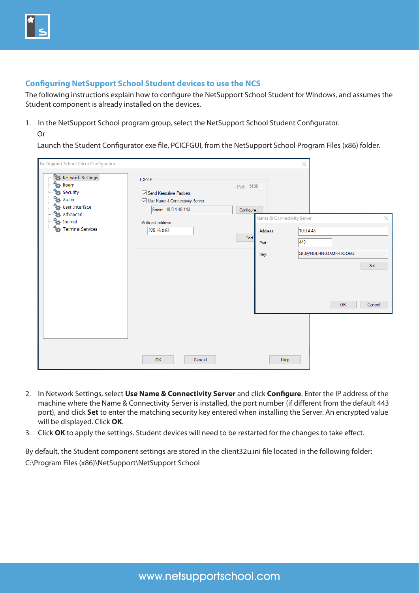## **Configuring NetSupport School Student devices to use the NCS**

The following instructions explain how to configure the NetSupport School Student for Windows, and assumes the Student component is already installed on the devices.

- 1. In the NetSupport School program group, select the NetSupport School Student Configurator.
	- Or

Launch the Student Configurator exe file, PCICFGUI, from the NetSupport School Program Files (x86) folder.

| NetSupport School Client Configurator                                                                                                                                                                                             |                                                                                                                                    | $\times$                                                                                                                                             |          |
|-----------------------------------------------------------------------------------------------------------------------------------------------------------------------------------------------------------------------------------|------------------------------------------------------------------------------------------------------------------------------------|------------------------------------------------------------------------------------------------------------------------------------------------------|----------|
| Network Settings<br>፝ፚ<br>Room<br>ď<br>Security<br>ď<br>Audio<br>٠,<br>User Interface<br>$\mathbf{r}^{\mathrm{z}}_{\mathrm{G}}$<br>Advanced<br>$\mathbf{r}^{\mathrm{c}}_{\mathrm{c}}$<br>Journal<br><b>Terminal Services</b><br>ъ | TCP/IP<br>Send Keepalive Packets<br>○ Use Name & Connectivity Server<br>Server: 10.0.4.48:443<br>Multicast address:<br>225.16.8.68 | Port: 5190<br>Configure<br>Name & Connectivity Server<br>10.0.4.48<br>Address:<br>Test<br>443<br>Port:<br>GI;J@HDLHN <oamfh;k>OBG<br/>Key:</oamfh;k> | $\times$ |
|                                                                                                                                                                                                                                   |                                                                                                                                    |                                                                                                                                                      | Set      |
|                                                                                                                                                                                                                                   |                                                                                                                                    | OK                                                                                                                                                   | Cancel   |
|                                                                                                                                                                                                                                   |                                                                                                                                    |                                                                                                                                                      |          |
|                                                                                                                                                                                                                                   | OK<br>Cancel                                                                                                                       | Help                                                                                                                                                 |          |

- 2. In Network Settings, select **Use Name & Connectivity Server** and click **Configure**. Enter the IP address of the machine where the Name & Connectivity Server is installed, the port number (if different from the default 443 port), and click **Set** to enter the matching security key entered when installing the Server. An encrypted value will be displayed. Click **OK**.
- 3. Click **OK** to apply the settings. Student devices will need to be restarted for the changes to take effect.

By default, the Student component settings are stored in the client32u.ini file located in the following folder: C:\Program Files (x86)\NetSupport\NetSupport School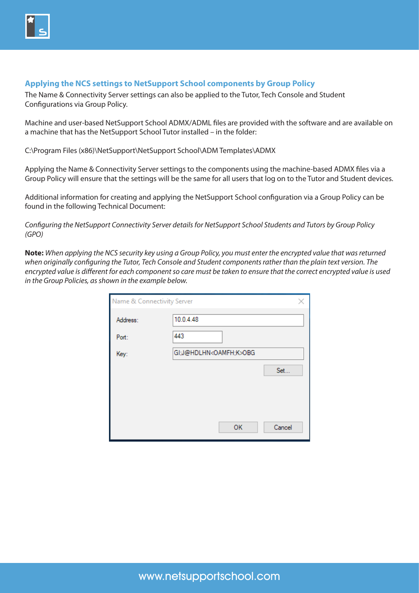

## **Applying the NCS settings to NetSupport School components by Group Policy**

The Name & Connectivity Server settings can also be applied to the Tutor, Tech Console and Student Configurations via Group Policy.

Machine and user-based NetSupport School ADMX/ADML files are provided with the software and are available on a machine that has the NetSupport School Tutor installed – in the folder:

C:\Program Files (x86)\NetSupport\NetSupport School\ADM Templates\ADMX

Applying the Name & Connectivity Server settings to the components using the machine-based ADMX files via a Group Policy will ensure that the settings will be the same for all users that log on to the Tutor and Student devices.

Additional information for creating and applying the NetSupport School configuration via a Group Policy can be found in the following Technical Document:

*[Configuring the NetSupport Connectivity Server details for NetSupport School Students and Tutors by Group Policy](https://kb.netsupportsoftware.com/knowledge-base/configuring-the-netsupport-connectivity-server-details-for-netsupport-school-students-and-tutors-by-group-policy-gpo/)  [\(GPO\)](https://kb.netsupportsoftware.com/knowledge-base/configuring-the-netsupport-connectivity-server-details-for-netsupport-school-students-and-tutors-by-group-policy-gpo/)*

**Note:** *When applying the NCS security key using a Group Policy, you must enter the encrypted value that was returned when originally configuring the Tutor, Tech Console and Student components rather than the plain text version. The encrypted value is different for each component so care must be taken to ensure that the correct encrypted value is used in the Group Policies, as shown in the example below.*

| Name & Connectivity Server | ×                                 |  |
|----------------------------|-----------------------------------|--|
| Address:                   | 10.0.4.48                         |  |
| Port:                      | 443                               |  |
| Key:                       | GI;J@HDLHN <oamfh;k>OBG</oamfh;k> |  |
|                            | Set                               |  |
|                            |                                   |  |
|                            |                                   |  |
|                            | Cancel<br>OK                      |  |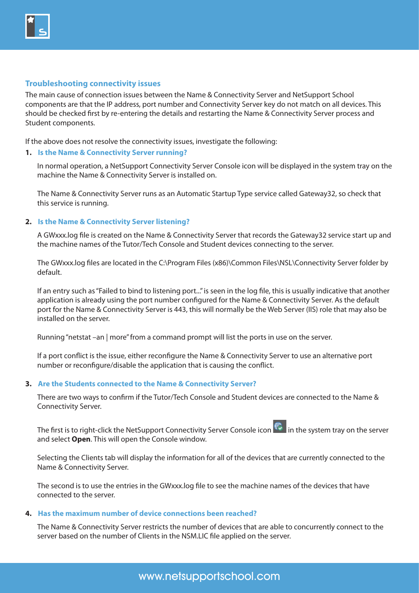

#### **Troubleshooting connectivity issues**

The main cause of connection issues between the Name & Connectivity Server and NetSupport School components are that the IP address, port number and Connectivity Server key do not match on all devices. This should be checked first by re-entering the details and restarting the Name & Connectivity Server process and Student components.

If the above does not resolve the connectivity issues, investigate the following:

#### **1. Is the Name & Connectivity Server running?**

In normal operation, a NetSupport Connectivity Server Console icon will be displayed in the system tray on the machine the Name & Connectivity Server is installed on.

The Name & Connectivity Server runs as an Automatic Startup Type service called Gateway32, so check that this service is running.

#### **2. Is the Name & Connectivity Server listening?**

A GWxxx.log file is created on the Name & Connectivity Server that records the Gateway32 service start up and the machine names of the Tutor/Tech Console and Student devices connecting to the server.

The GWxxx.log files are located in the C:\Program Files (x86)\Common Files\NSL\Connectivity Server folder by default.

If an entry such as "Failed to bind to listening port..." is seen in the log file, this is usually indicative that another application is already using the port number configured for the Name & Connectivity Server. As the default port for the Name & Connectivity Server is 443, this will normally be the Web Server (IIS) role that may also be installed on the server.

Running "netstat –an | more" from a command prompt will list the ports in use on the server.

If a port conflict is the issue, either reconfigure the Name & Connectivity Server to use an alternative port number or reconfigure/disable the application that is causing the conflict.

#### **3. Are the Students connected to the Name & Connectivity Server?**

There are two ways to confirm if the Tutor/Tech Console and Student devices are connected to the Name & Connectivity Server.

The first is to right-click the NetSupport Connectivity Server Console icon  $\ddot{\ddot{\cdot}}$  in the system tray on the server and select **Open**. This will open the Console window.

Selecting the Clients tab will display the information for all of the devices that are currently connected to the Name & Connectivity Server.

The second is to use the entries in the GWxxx.log file to see the machine names of the devices that have connected to the server.

#### **4. Has the maximum number of device connections been reached?**

The Name & Connectivity Server restricts the number of devices that are able to concurrently connect to the server based on the number of Clients in the NSM.LIC file applied on the server.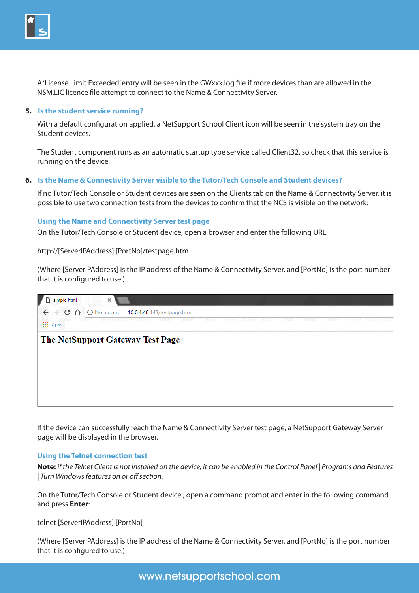

A 'License Limit Exceeded' entry will be seen in the GWxxx.log file if more devices than are allowed in the NSM.LIC licence file attempt to connect to the Name & Connectivity Server.

#### **5. Is the student service running?**

With a default configuration applied, a NetSupport School Client icon will be seen in the system tray on the Student devices.

The Student component runs as an automatic startup type service called Client32, so check that this service is running on the device.

#### **6. Is the Name & Connectivity Server visible to the Tutor/Tech Console and Student devices?**

If no Tutor/Tech Console or Student devices are seen on the Clients tab on the Name & Connectivity Server, it is possible to use two connection tests from the devices to confirm that the NCS is visible on the network:

#### **Using the Name and Connectivity Server test page**

On the Tutor/Tech Console or Student device, open a browser and enter the following URL:

http://[ServerIPAddress]:[PortNo]/testpage.htm

(Where [ServerIPAddress] is the IP address of the Name & Connectivity Server, and [PortNo] is the port number that it is configured to use.)

| simple html                             | ×                                 |
|-----------------------------------------|-----------------------------------|
| $\mathbf C$<br>$\leftarrow$<br>946<br>⇧ | <b>10.0.4.48:443/testpage.htm</b> |
| <b>III</b> Apps                         |                                   |
|                                         | The NetSupport Gateway Test Page  |
|                                         |                                   |
|                                         |                                   |
|                                         |                                   |
|                                         |                                   |
|                                         |                                   |

If the device can successfully reach the Name & Connectivity Server test page, a NetSupport Gateway Server page will be displayed in the browser.

#### **Using the Telnet connection test**

**Note:** *if the Telnet Client is not installed on the device, it can be enabled in the Control Panel | Programs and Features | Turn Windows features on or off section.*

On the Tutor/Tech Console or Student device , open a command prompt and enter in the following command and press **Enter**:

telnet [ServerIPAddress] [PortNo]

(Where [ServerIPAddress] is the IP address of the Name & Connectivity Server, and [PortNo] is the port number that it is configured to use.)